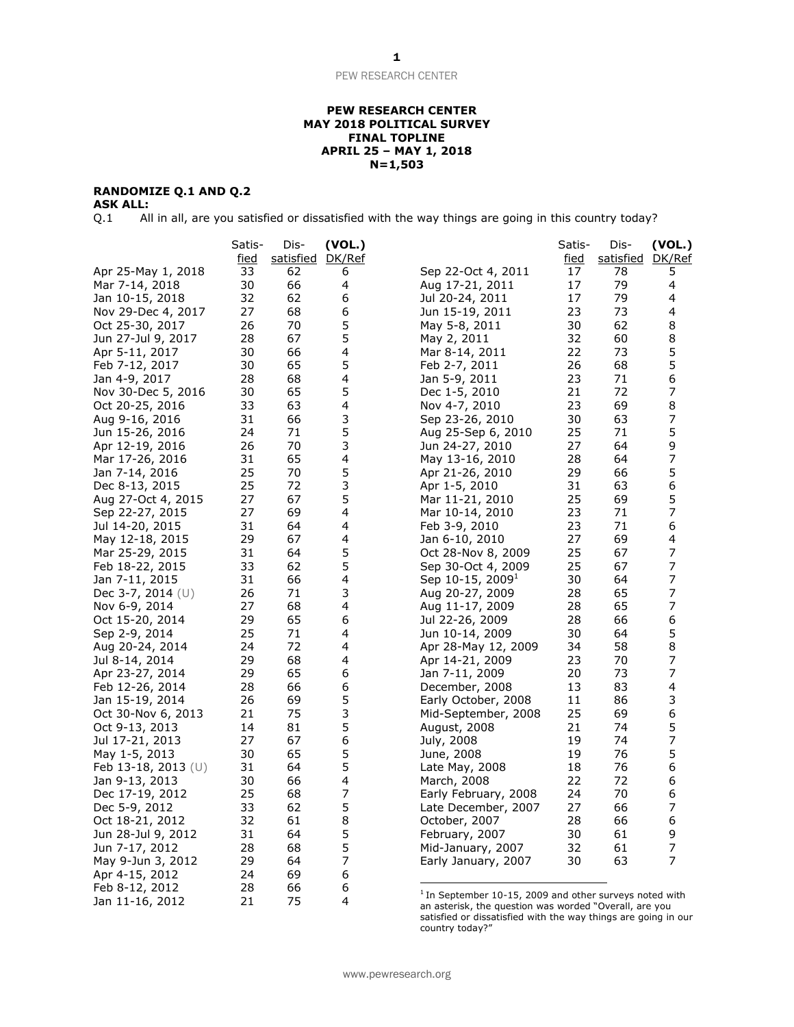### **PEW RESEARCH CENTER MAY 2018 POLITICAL SURVEY FINAL TOPLINE APRIL 25 – MAY 1, 2018 N=1,503**

# **RANDOMIZE Q.1 AND Q.2**

**ASK ALL:**<br>Q.1 Al All in all, are you satisfied or dissatisfied with the way things are going in this country today?

|                       | Satis-      | Dis-             | (VOL.)                   |                                                                                                                   | Satis-      | Dis-             | (VOL.) |
|-----------------------|-------------|------------------|--------------------------|-------------------------------------------------------------------------------------------------------------------|-------------|------------------|--------|
|                       | <u>fied</u> | satisfied DK/Ref |                          |                                                                                                                   | <u>fied</u> | <u>satisfied</u> | DK/Ref |
| Apr 25-May 1, 2018    | 33          | 62               | 6                        | Sep 22-Oct 4, 2011                                                                                                | 17          | 78               | 5      |
| Mar 7-14, 2018        | 30          | 66               | 4                        | Aug 17-21, 2011                                                                                                   | 17          | 79               | 4      |
| Jan 10-15, 2018       | 32          | 62               | 6                        | Jul 20-24, 2011                                                                                                   | 17          | 79               | 4      |
| Nov 29-Dec 4, 2017    | 27          | 68               | 6                        | Jun 15-19, 2011                                                                                                   | 23          | 73               | 4      |
| Oct 25-30, 2017       | 26          | 70               | 5                        | May 5-8, 2011                                                                                                     | 30          | 62               | 8      |
| Jun 27-Jul 9, 2017    | 28          | 67               | 5                        | May 2, 2011                                                                                                       | 32          | 60               | 8      |
| Apr 5-11, 2017        | 30          | 66               | 4                        | Mar 8-14, 2011                                                                                                    | 22          | 73               | 5      |
| Feb 7-12, 2017        | 30          | 65               | 5                        | Feb 2-7, 2011                                                                                                     | 26          | 68               | 5      |
| Jan 4-9, 2017         | 28          | 68               | 4                        | Jan 5-9, 2011                                                                                                     | 23          | 71               | 6      |
| Nov 30-Dec 5, 2016    | 30          | 65               | 5                        | Dec 1-5, 2010                                                                                                     | 21          | 72               | 7      |
| Oct 20-25, 2016       | 33          | 63               | 4                        | Nov 4-7, 2010                                                                                                     | 23          | 69               | 8      |
| Aug 9-16, 2016        | 31          | 66               | 3                        | Sep 23-26, 2010                                                                                                   | 30          | 63               | 7      |
| Jun 15-26, 2016       | 24          | 71               | 5                        | Aug 25-Sep 6, 2010                                                                                                | 25          | 71               | 5      |
| Apr 12-19, 2016       | 26          | 70               | 3                        | Jun 24-27, 2010                                                                                                   | 27          | 64               | 9      |
| Mar 17-26, 2016       | 31          | 65               | 4                        | May 13-16, 2010                                                                                                   | 28          | 64               | 7      |
| Jan 7-14, 2016        | 25          | 70               | 5                        | Apr 21-26, 2010                                                                                                   | 29          | 66               | 5      |
| Dec 8-13, 2015        | 25          | 72               | 3                        | Apr 1-5, 2010                                                                                                     | 31          | 63               | 6      |
| Aug 27-Oct 4, 2015    | 27          | 67               | 5                        | Mar 11-21, 2010                                                                                                   | 25          | 69               | 5      |
| Sep 22-27, 2015       | 27          | 69               | 4                        |                                                                                                                   | 23          | 71               | 7      |
|                       | 31          | 64               | 4                        | Mar 10-14, 2010                                                                                                   | 23          | 71               | 6      |
| Jul 14-20, 2015       |             |                  |                          | Feb 3-9, 2010                                                                                                     |             |                  |        |
| May 12-18, 2015       | 29          | 67               | 4                        | Jan 6-10, 2010                                                                                                    | 27          | 69               | 4      |
| Mar 25-29, 2015       | 31          | 64               | 5                        | Oct 28-Nov 8, 2009                                                                                                | 25          | 67               | 7      |
| Feb 18-22, 2015       | 33          | 62               | 5                        | Sep 30-Oct 4, 2009                                                                                                | 25          | 67               | 7      |
| Jan 7-11, 2015        | 31          | 66               | 4                        | Sep $10-15$ , $2009^{\text{-}}$                                                                                   | 30          | 64               | 7      |
| Dec 3-7, 2014 $(U)$   | 26          | 71               | 3                        | Aug 20-27, 2009                                                                                                   | 28          | 65               | 7      |
| Nov 6-9, 2014         | 27          | 68               | 4                        | Aug 11-17, 2009                                                                                                   | 28          | 65               | 7      |
| Oct 15-20, 2014       | 29          | 65               | 6                        | Jul 22-26, 2009                                                                                                   | 28          | 66               | 6      |
| Sep 2-9, 2014         | 25          | 71               | 4                        | Jun 10-14, 2009                                                                                                   | 30          | 64               | 5      |
| Aug 20-24, 2014       | 24          | 72               | 4                        | Apr 28-May 12, 2009                                                                                               | 34          | 58               | 8      |
| Jul 8-14, 2014        | 29          | 68               | 4                        | Apr 14-21, 2009                                                                                                   | 23          | 70               | 7      |
| Apr 23-27, 2014       | 29          | 65               | 6                        | Jan 7-11, 2009                                                                                                    | 20          | 73               | 7      |
| Feb 12-26, 2014       | 28          | 66               | 6                        | December, 2008                                                                                                    | 13          | 83               | 4      |
| Jan 15-19, 2014       | 26          | 69               | 5                        | Early October, 2008                                                                                               | 11          | 86               | 3      |
| Oct 30-Nov 6, 2013    | 21          | 75               | 3                        | Mid-September, 2008                                                                                               | 25          | 69               | 6      |
| Oct 9-13, 2013        | 14          | 81               | 5                        | August, 2008                                                                                                      | 21          | 74               | 5      |
| Jul 17-21, 2013       | 27          | 67               | 6                        | July, 2008                                                                                                        | 19          | 74               | 7      |
| May 1-5, 2013         | 30          | 65               | 5                        | June, 2008                                                                                                        | 19          | 76               | 5      |
| Feb 13-18, 2013 $(U)$ | 31          | 64               | 5                        | Late May, 2008                                                                                                    | 18          | 76               | 6      |
| Jan 9-13, 2013        | 30          | 66               | 4                        | March, 2008                                                                                                       | 22          | 72               | 6      |
| Dec 17-19, 2012       | 25          | 68               | 7                        | Early February, 2008                                                                                              | 24          | 70               | 6      |
| Dec 5-9, 2012         | 33          | 62               | 5                        | Late December, 2007                                                                                               | 27          | 66               | 7      |
| Oct 18-21, 2012       | 32          | 61               | 8                        | October, 2007                                                                                                     | 28          | 66               | 6      |
| Jun 28-Jul 9, 2012    | 31          | 64               | 5                        | February, 2007                                                                                                    | 30          | 61               | 9      |
| Jun 7-17, 2012        | 28          | 68               | 5                        | Mid-January, 2007                                                                                                 | 32          | 61               | 7      |
| May 9-Jun 3, 2012     | 29          | 64               | $\overline{\mathcal{I}}$ | Early January, 2007                                                                                               | 30          | 63               | 7      |
| Apr 4-15, 2012        | 24          | 69               | 6                        |                                                                                                                   |             |                  |        |
| Feb 8-12, 2012        | 28          | 66               | 6                        |                                                                                                                   |             |                  |        |
| Jan 11-16, 2012       | 21          | 75               | 4                        | $1$ In September 10-15, 2009 and other surveys noted with<br>an actorick the question was worded "Overall are vou |             |                  |        |

an asterisk, the question was worded "Overall, are you satisfied or dissatisfied with the way things are going in our country today?"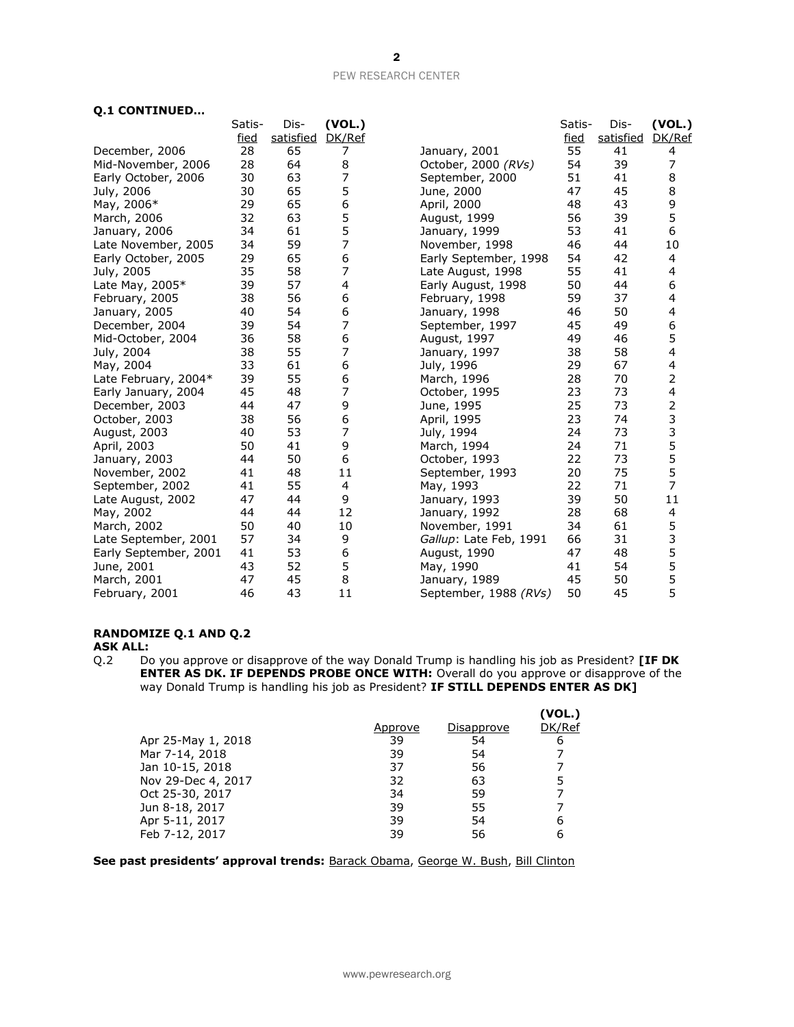# **Q.1 CONTINUED…**

|                       | Satis-      | Dis-      | (VOL.)         |                        | Satis- | Dis-      | (VOL.)         |
|-----------------------|-------------|-----------|----------------|------------------------|--------|-----------|----------------|
|                       | <u>fied</u> | satisfied | DK/Ref         |                        | fied   | satisfied | DK/Ref         |
| December, 2006        | 28          | 65        | 7              | January, 2001          | 55     | 41        | 4              |
| Mid-November, 2006    | 28          | 64        | 8              | October, 2000 (RVs)    | 54     | 39        | 7              |
| Early October, 2006   | 30          | 63        | 7              | September, 2000        | 51     | 41        | 8              |
| July, 2006            | 30          | 65        | 5              | June, 2000             | 47     | 45        | 8              |
| May, 2006*            | 29          | 65        | 6              | April, 2000            | 48     | 43        | 9              |
| March, 2006           | 32          | 63        | 5              | August, 1999           | 56     | 39        | 5              |
| January, 2006         | 34          | 61        | 5              | January, 1999          | 53     | 41        | 6              |
| Late November, 2005   | 34          | 59        | 7              | November, 1998         | 46     | 44        | 10             |
| Early October, 2005   | 29          | 65        | 6              | Early September, 1998  | 54     | 42        | 4              |
| July, 2005            | 35          | 58        | 7              | Late August, 1998      | 55     | 41        | 4              |
| Late May, 2005*       | 39          | 57        | 4              | Early August, 1998     | 50     | 44        | 6              |
| February, 2005        | 38          | 56        | 6              | February, 1998         | 59     | 37        | 4              |
| January, 2005         | 40          | 54        | 6              | January, 1998          | 46     | 50        | 4              |
| December, 2004        | 39          | 54        | 7              | September, 1997        | 45     | 49        | 6              |
| Mid-October, 2004     | 36          | 58        | 6              | August, 1997           | 49     | 46        | 5              |
| July, 2004            | 38          | 55        | 7              | January, 1997          | 38     | 58        | 4              |
| May, 2004             | 33          | 61        | 6              | July, 1996             | 29     | 67        | 4              |
| Late February, 2004*  | 39          | 55        | 6              | March, 1996            | 28     | 70        | 2              |
| Early January, 2004   | 45          | 48        | $\overline{7}$ | October, 1995          | 23     | 73        | 4              |
| December, 2003        | 44          | 47        | 9              | June, 1995             | 25     | 73        | 2<br>3         |
| October, 2003         | 38          | 56        | 6              | April, 1995            | 23     | 74        |                |
| August, 2003          | 40          | 53        | 7              | July, 1994             | 24     | 73        | 3<br>5         |
| April, 2003           | 50          | 41        | 9              | March, 1994            | 24     | 71        |                |
| January, 2003         | 44          | 50        | 6              | October, 1993          | 22     | 73        | 5              |
| November, 2002        | 41          | 48        | 11             | September, 1993        | 20     | 75        | 5              |
| September, 2002       | 41          | 55        | 4              | May, 1993              | 22     | 71        | $\overline{7}$ |
| Late August, 2002     | 47          | 44        | 9              | January, 1993          | 39     | 50        | 11             |
| May, 2002             | 44          | 44        | 12             | January, 1992          | 28     | 68        | 4              |
| March, 2002           | 50          | 40        | 10             | November, 1991         | 34     | 61        | 5              |
| Late September, 2001  | 57          | 34        | 9              | Gallup: Late Feb, 1991 | 66     | 31        | 3              |
| Early September, 2001 | 41          | 53        | 6              | August, 1990           | 47     | 48        | 5              |
| June, 2001            | 43          | 52        | 5              | May, 1990              | 41     | 54        | 5              |
| March, 2001           | 47          | 45        | 8              | January, 1989          | 45     | 50        | 5              |
| February, 2001        | 46          | 43        | 11             | September, 1988 (RVs)  | 50     | 45        | 5              |

### **RANDOMIZE Q.1 AND Q.2**

**ASK ALL:**<br>Q.2 Do Do you approve or disapprove of the way Donald Trump is handling his job as President? **[IF DK ENTER AS DK. IF DEPENDS PROBE ONCE WITH:** Overall do you approve or disapprove of the way Donald Trump is handling his job as President? **IF STILL DEPENDS ENTER AS DK]**

|                    |         |            | (VOL.) |
|--------------------|---------|------------|--------|
|                    | Approve | Disapprove | DK/Ref |
| Apr 25-May 1, 2018 | 39      | 54         | 6      |
| Mar 7-14, 2018     | 39      | 54         |        |
| Jan 10-15, 2018    | 37      | 56         |        |
| Nov 29-Dec 4, 2017 | 32      | 63         |        |
| Oct 25-30, 2017    | 34      | 59         |        |
| Jun 8-18, 2017     | 39      | 55         |        |
| Apr 5-11, 2017     | 39      | 54         | 6      |
| Feb 7-12, 2017     | 39      | 56         |        |

**See past presidents' approval trends:** [Barack Obama,](http://assets.pewresearch.org/wp-content/uploads/sites/5/2017/01/19114252/01-19-17-2017-Political-outlook-topline-for-release.pdf) [George W. Bush,](http://www.people-press.org/files/legacy-questionnaires/483.pdf) [Bill Clinton](http://www.people-press.org/files/legacy-questionnaires/18.pdf)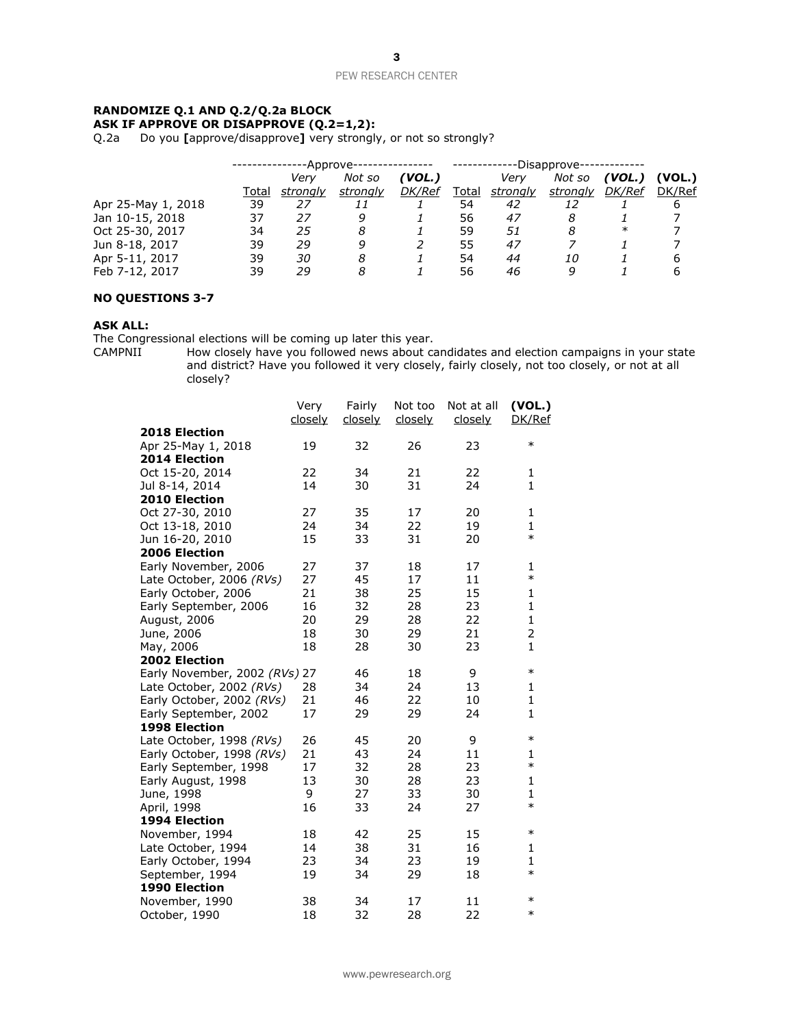### **RANDOMIZE Q.1 AND Q.2/Q.2a BLOCK ASK IF APPROVE OR DISAPPROVE (Q.2=1,2):**

Q.2a Do you **[**approve/disapprove**]** very strongly, or not so strongly?

|                    | -Approve- |          |          | --Disapprove- |       |          |          |               |        |
|--------------------|-----------|----------|----------|---------------|-------|----------|----------|---------------|--------|
|                    |           | Verv     | Not so   | 'VOL.)        |       | Very     | Not so   | (VOL.)        | (VOL.) |
|                    | Total     | stronalv | strongly | <b>DK/Ref</b> | Total | strongly | strongly | <b>DK/Ref</b> | DK/Ref |
| Apr 25-May 1, 2018 | 39        | 27       | 11       |               | 54    | 42       | 12       |               | 6      |
| Jan 10-15, 2018    | 37        | 27       | q        |               | 56    | 47       | 8        |               |        |
| Oct 25-30, 2017    | 34        | 25       | 8        |               | 59    | 51       | 8        | $\ast$        |        |
| Jun 8-18, 2017     | 39        | 29       | q        |               | 55    | 47       |          |               |        |
| Apr 5-11, 2017     | 39        | 30       | 8        |               | 54    | 44       | 10       |               | 6      |
| Feb 7-12, 2017     | 39        | 29       | 8        |               | 56    | 46       | 9        |               | 6      |

### **NO QUESTIONS 3-7**

### **ASK ALL:**

The Congressional elections will be coming up later this year.<br>CAMPNII How closely have you followed news about ca

How closely have you followed news about candidates and election campaigns in your state and district? Have you followed it very closely, fairly closely, not too closely, or not at all closely?

|                               | Very<br><u>closely</u> | Fairly<br><u>closely</u> | Not too<br><u>closely</u> | Not at all<br><u>closely</u> | (VOL.)<br>DK/Ref |
|-------------------------------|------------------------|--------------------------|---------------------------|------------------------------|------------------|
| 2018 Election                 |                        |                          |                           |                              |                  |
| Apr 25-May 1, 2018            | 19                     | 32                       | 26                        | 23                           | $\ast$           |
| 2014 Election                 |                        |                          |                           |                              |                  |
| Oct 15-20, 2014               | 22                     | 34                       | 21                        | 22                           | 1                |
| Jul 8-14, 2014                | 14                     | 30                       | 31                        | 24                           | $\mathbf{1}$     |
| <b>2010 Election</b>          |                        |                          |                           |                              |                  |
| Oct 27-30, 2010               | 27                     | 35                       | 17                        | 20                           | 1                |
| Oct 13-18, 2010               | 24                     | 34                       | 22                        | 19                           | $\mathbf{1}$     |
| Jun 16-20, 2010               | 15                     | 33                       | 31                        | 20                           | $\ast$           |
| 2006 Election                 |                        |                          |                           |                              |                  |
| Early November, 2006          | 27                     | 37                       | 18                        | 17                           | 1                |
| Late October, 2006 (RVs)      | 27                     | 45                       | 17                        | 11                           | $\ast$           |
| Early October, 2006           | 21                     | 38                       | 25                        | 15                           | $\mathbf{1}$     |
| Early September, 2006         | 16                     | 32                       | 28                        | 23                           | $\mathbf{1}$     |
| August, 2006                  | 20                     | 29                       | 28                        | 22                           | $\mathbf{1}$     |
| June, 2006                    | 18                     | 30                       | 29                        | 21                           | $\overline{2}$   |
| May, 2006                     | 18                     | 28                       | 30                        | 23                           | $\mathbf{1}$     |
| <b>2002 Election</b>          |                        |                          |                           |                              |                  |
| Early November, 2002 (RVs) 27 |                        | 46                       | 18                        | 9                            | $\ast$           |
| Late October, 2002 (RVs)      | 28                     | 34                       | 24                        | 13                           | 1                |
| Early October, 2002 (RVs)     | 21                     | 46                       | 22                        | 10                           | $\mathbf{1}$     |
| Early September, 2002         | 17                     | 29                       | 29                        | 24                           | $\mathbf{1}$     |
| 1998 Election                 |                        |                          |                           |                              |                  |
| Late October, 1998 (RVs)      | 26                     | 45                       | 20                        | 9                            | $\ast$           |
| Early October, 1998 (RVs)     | 21                     | 43                       | 24                        | 11                           | 1                |
| Early September, 1998         | 17                     | 32                       | 28                        | 23                           | $\ast$           |
| Early August, 1998            | 13                     | 30                       | 28                        | 23                           | 1                |
| June, 1998                    | 9                      | 27                       | 33                        | 30                           | $\mathbf{1}$     |
| April, 1998                   | 16                     | 33                       | 24                        | 27                           | $\ast$           |
| 1994 Election                 |                        |                          |                           |                              |                  |
| November, 1994                | 18                     | 42                       | 25                        | 15                           | $\ast$           |
| Late October, 1994            | 14                     | 38                       | 31                        | 16                           | 1                |
| Early October, 1994           | 23                     | 34                       | 23                        | 19                           | $\mathbf{1}$     |
| September, 1994               | 19                     | 34                       | 29                        | 18                           | $\ast$           |
| 1990 Election                 |                        |                          |                           |                              |                  |
| November, 1990                | 38                     | 34                       | 17                        | 11                           | $\ast$           |
| October, 1990                 | 18                     | 32                       | 28                        | 22                           | $\ast$           |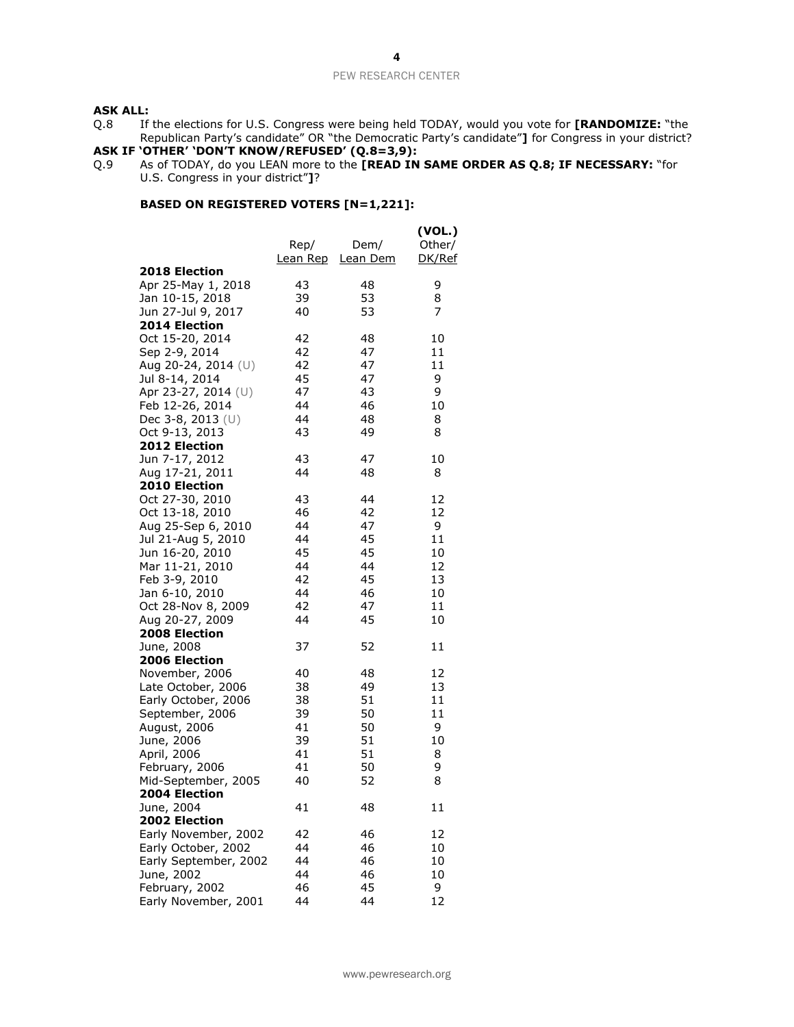### **ASK ALL:**

Q.8 If the elections for U.S. Congress were being held TODAY, would you vote for **[RANDOMIZE:** "the Republican Party's candidate" OR "the Democratic Party's candidate"**]** for Congress in your district?

#### **ASK IF 'OTHER' 'DON'T KNOW/REFUSED' (Q.8=3,9):**

Q.9 As of TODAY, do you LEAN more to the **[READ IN SAME ORDER AS Q.8; IF NECESSARY:** "for U.S. Congress in your district"**]**?

# **BASED ON REGISTERED VOTERS [N=1,221]:**

|                                      | Rep/<br><u>Lean Rep</u> | Dem/<br>Lean Dem | (VOL.)<br>Other/<br><u>DK/Ref</u> |
|--------------------------------------|-------------------------|------------------|-----------------------------------|
| 2018 Election                        |                         |                  |                                   |
| Apr 25-May 1, 2018                   | 43                      | 48               | 9                                 |
| Jan 10-15, 2018                      | 39                      | 53               | 8                                 |
| Jun 27-Jul 9, 2017                   | 40                      | 53               | 7                                 |
| <b>2014 Election</b>                 |                         |                  |                                   |
| Oct 15-20, 2014                      | 42                      | 48               | 10                                |
| Sep 2-9, 2014                        | 42                      | 47               | 11                                |
| Aug 20-24, 2014 (U)                  | 42                      | 47               | 11                                |
| Jul 8-14, 2014                       | 45                      | 47               | 9                                 |
| Apr 23-27, 2014 (U)                  | 47                      | 43               | 9                                 |
| Feb 12-26, 2014                      | 44                      | 46               | 10                                |
| Dec 3-8, 2013 (U)                    | 44                      | 48               | 8                                 |
| Oct 9-13, 2013                       | 43                      | 49               | 8                                 |
| 2012 Election                        |                         |                  |                                   |
| Jun 7-17, 2012                       | 43                      | 47               | 10                                |
| Aug 17-21, 2011                      | 44                      | 48               | 8                                 |
| 2010 Election                        |                         |                  |                                   |
| Oct 27-30, 2010                      | 43                      | 44               | 12                                |
| Oct 13-18, 2010                      | 46                      | 42               | 12                                |
| Aug 25-Sep 6, 2010                   | 44                      | 47               | 9                                 |
| Jul 21-Aug 5, 2010                   | 44                      | 45               | 11                                |
| Jun 16-20, 2010                      | 45                      | 45               | 10                                |
| Mar 11-21, 2010                      | 44                      | 44               | 12                                |
| Feb 3-9, 2010                        | 42                      | 45               | 13                                |
| Jan 6-10, 2010                       | 44                      | 46               | 10                                |
| Oct 28-Nov 8, 2009                   | 42                      | 47               | 11                                |
| Aug 20-27, 2009                      | 44                      | 45               | 10                                |
| 2008 Election                        |                         |                  |                                   |
| June, 2008                           | 37                      | 52               | 11                                |
| 2006 Election                        |                         |                  |                                   |
| November, 2006                       | 40                      | 48               | 12                                |
| Late October, 2006                   | 38                      | 49               | 13                                |
| Early October, 2006                  | 38                      | 51               | 11                                |
| September, 2006                      | 39                      | 50               | 11                                |
| August, 2006                         | 41                      | 50               | 9<br>10                           |
| June, 2006                           | 39                      | 51               |                                   |
| April, 2006                          | 41                      | 51               | 8                                 |
| February, 2006                       | 41                      | 50               | 9<br>8                            |
| Mid-September, 2005<br>2004 Election | 40                      | 52               |                                   |
| June, 2004                           | 41                      | 48               | 11                                |
| 2002 Election                        |                         |                  |                                   |
| Early November, 2002                 | 42                      | 46               | 12                                |
| Early October, 2002                  | 44                      | 46               | 10                                |
| Early September, 2002                | 44                      | 46               | 10                                |
| June, 2002                           | 44                      | 46               | 10                                |
| February, 2002                       | 46                      | 45               | 9                                 |
| Early November, 2001                 | 44                      | 44               | 12                                |
|                                      |                         |                  |                                   |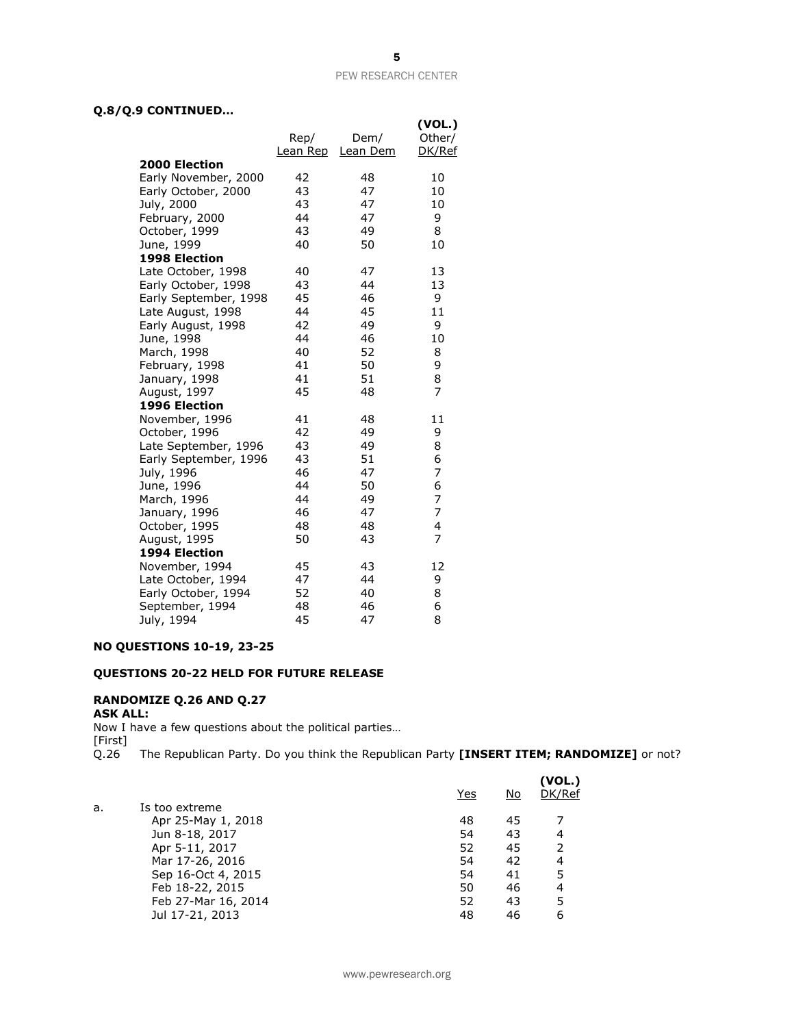# **Q.8/Q.9 CONTINUED…**

| ∍<br>CONTINUED        |                  |                  |                            |
|-----------------------|------------------|------------------|----------------------------|
|                       | Rep/<br>Lean Rep | Dem/<br>Lean Dem | (VOL.)<br>Other/<br>DK/Ref |
| <b>2000 Election</b>  |                  |                  |                            |
| Early November, 2000  | 42               | 48               | 10                         |
| Early October, 2000   | 43               | 47               | 10                         |
| July, 2000            | 43               | 47               | 10                         |
| February, 2000        | 44               | 47               | 9                          |
| October, 1999         | 43               | 49               | 8                          |
| June, 1999            | 40               | 50               | 10                         |
| <b>1998 Election</b>  |                  |                  |                            |
| Late October, 1998    | 40               | 47               | 13                         |
| Early October, 1998   | 43               | 44               | 13                         |
| Early September, 1998 | 45               | 46               | 9                          |
| Late August, 1998     | 44               | 45               | 11                         |
| Early August, 1998    | 42               | 49               | 9                          |
| June, 1998            | 44               | 46               | 10                         |
| March, 1998           | 40               | 52               | 8                          |
| February, 1998        | 41               | 50               | 9                          |
| January, 1998         | 41               | 51               | 8                          |
| August, 1997          | 45               | 48               | 7                          |
| 1996 Election         |                  |                  |                            |
| November, 1996        | 41               | 48               | 11                         |
| October, 1996         | 42               | 49               | 9                          |
| Late September, 1996  | 43               | 49               | 8                          |
| Early September, 1996 | 43               | 51               | 6                          |
| July, 1996            | 46               | 47               | 7                          |
| June, 1996            | 44               | 50               | 6                          |
| March, 1996           | 44               | 49               | 7                          |
| January, 1996         | 46               | 47               | 7                          |
| October, 1995         | 48               | 48               | 4                          |
| August, 1995          | 50               | 43               | $\overline{7}$             |
| 1994 Election         |                  |                  |                            |
| November, 1994        | 45               | 43               | 12                         |
| Late October, 1994    | 47               | 44               | 9                          |
| Early October, 1994   | 52               | 40               | 8                          |
| September, 1994       | 48               | 46               | 6                          |
| July, 1994            | 45               | 47               | 8                          |

### **NO QUESTIONS 10-19, 23-25**

# **QUESTIONS 20-22 HELD FOR FUTURE RELEASE**

# **RANDOMIZE Q.26 AND Q.27**

# **ASK ALL:**

Now I have a few questions about the political parties…

[First]

Q.26 The Republican Party. Do you think the Republican Party **[INSERT ITEM; RANDOMIZE]** or not?

|    |                     | Yes | <u>No</u> | (VOL.)<br>DK/Ref |
|----|---------------------|-----|-----------|------------------|
| a. | Is too extreme      |     |           |                  |
|    | Apr 25-May 1, 2018  | 48  | 45        |                  |
|    | Jun 8-18, 2017      | 54  | 43        | 4                |
|    | Apr 5-11, 2017      | 52  | 45        | 2                |
|    | Mar 17-26, 2016     | 54  | 42        | 4                |
|    | Sep 16-Oct 4, 2015  | 54  | 41        | 5                |
|    | Feb 18-22, 2015     | 50  | 46        | 4                |
|    | Feb 27-Mar 16, 2014 | 52  | 43        | 5                |
|    | Jul 17-21, 2013     | 48  | 46        | 6                |
|    |                     |     |           |                  |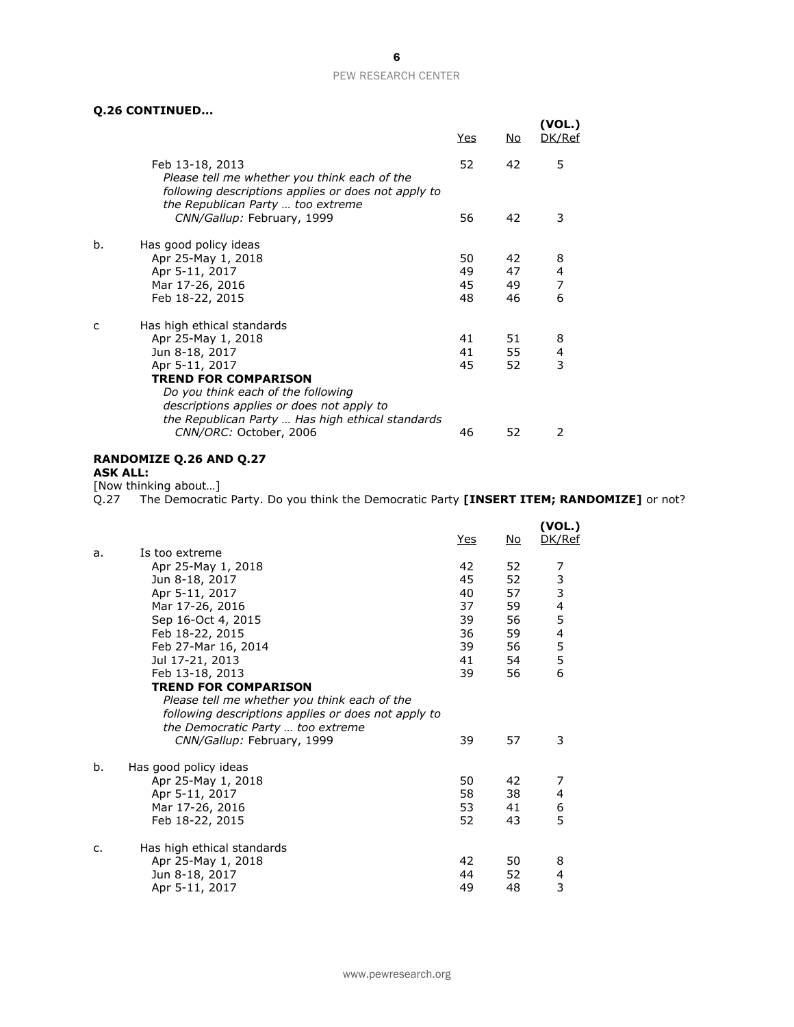# **Q.26 CONTINUED...**

|    | יייש בטוונונוסט טבופ                                                                                                   | <u>Yes</u> | <u>No</u> | (VOL.)<br>DK/Ref |
|----|------------------------------------------------------------------------------------------------------------------------|------------|-----------|------------------|
|    | Feb 13-18, 2013<br>Please tell me whether you think each of the                                                        | 52         | 42        | 5                |
|    | following descriptions applies or does not apply to<br>the Republican Party  too extreme<br>CNN/Gallup: February, 1999 | 56         | 42        | 3                |
| b. | Has good policy ideas                                                                                                  |            |           |                  |
|    | Apr 25-May 1, 2018<br>Apr 5-11, 2017                                                                                   | 50<br>49   | 42<br>47  | 8<br>4           |
|    | Mar 17-26, 2016                                                                                                        | 45         | 49        | 7                |
|    | Feb 18-22, 2015                                                                                                        | 48         | 46        | 6                |
| c  | Has high ethical standards                                                                                             |            |           |                  |
|    | Apr 25-May 1, 2018                                                                                                     | 41         | 51        | 8                |
|    | Jun 8-18, 2017                                                                                                         | 41         | 55        | 4                |
|    | Apr 5-11, 2017                                                                                                         | 45         | 52        | 3                |
|    | <b>TREND FOR COMPARISON</b>                                                                                            |            |           |                  |
|    | Do you think each of the following                                                                                     |            |           |                  |
|    | descriptions applies or does not apply to                                                                              |            |           |                  |
|    | the Republican Party  Has high ethical standards                                                                       |            |           |                  |
|    | CNN/ORC: October, 2006                                                                                                 | 46         | 52        | 2                |

# **RANDOMIZE Q.26 AND Q.27**

**ASK ALL:**

[Now thinking about…]

Q.27 The Democratic Party. Do you think the Democratic Party **[INSERT ITEM; RANDOMIZE]** or not?

|    |                                                     | Yes | No | (VOL.)<br>DK/Ref                           |
|----|-----------------------------------------------------|-----|----|--------------------------------------------|
| a. | Is too extreme                                      |     |    |                                            |
|    | Apr 25-May 1, 2018                                  | 42  | 52 | 7                                          |
|    | Jun 8-18, 2017                                      | 45  | 52 |                                            |
|    | Apr 5-11, 2017                                      | 40  | 57 | $\begin{array}{c} 3 \\ 3 \\ 4 \end{array}$ |
|    | Mar 17-26, 2016                                     | 37  | 59 |                                            |
|    | Sep 16-Oct 4, 2015                                  | 39  | 56 | 5                                          |
|    | Feb 18-22, 2015                                     | 36  | 59 | $\begin{array}{c} 4 \\ 5 \\ 5 \end{array}$ |
|    | Feb 27-Mar 16, 2014                                 | 39  | 56 |                                            |
|    | Jul 17-21, 2013                                     | 41  | 54 |                                            |
|    | Feb 13-18, 2013                                     | 39  | 56 | 6                                          |
|    | <b>TREND FOR COMPARISON</b>                         |     |    |                                            |
|    | Please tell me whether you think each of the        |     |    |                                            |
|    | following descriptions applies or does not apply to |     |    |                                            |
|    | the Democratic Party  too extreme                   |     |    |                                            |
|    | CNN/Gallup: February, 1999                          | 39  | 57 | 3                                          |
| b. | Has good policy ideas                               |     |    |                                            |
|    | Apr 25-May 1, 2018                                  | 50  | 42 | 7                                          |
|    | Apr 5-11, 2017                                      | 58  | 38 | 4                                          |
|    | Mar 17-26, 2016                                     | 53  | 41 | 6                                          |
|    | Feb 18-22, 2015                                     | 52  | 43 | 5                                          |
| c. | Has high ethical standards                          |     |    |                                            |
|    | Apr 25-May 1, 2018                                  | 42  | 50 | 8                                          |
|    | Jun 8-18, 2017                                      | 44  | 52 | 4                                          |
|    | Apr 5-11, 2017                                      | 49  | 48 | 3                                          |
|    |                                                     |     |    |                                            |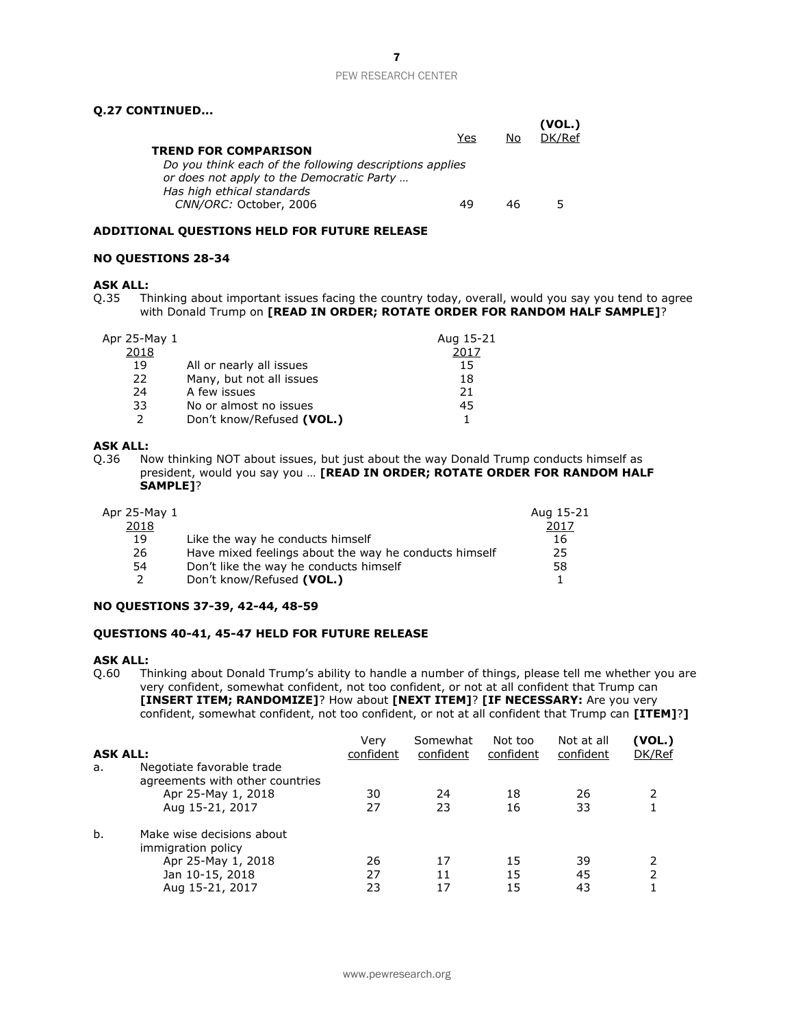# 7

### PEW RESEARCH CENTER

## **Q.27 CONTINUED...**

| <b>TREND FOR COMPARISON</b><br>Do you think each of the following descriptions applies<br>or does not apply to the Democratic Party | Yes | No | (VOL.)<br>DK/Ref |
|-------------------------------------------------------------------------------------------------------------------------------------|-----|----|------------------|
| Has high ethical standards<br>CNN/ORC: October, 2006                                                                                |     | 46 | 5                |

### **ADDITIONAL QUESTIONS HELD FOR FUTURE RELEASE**

### **NO QUESTIONS 28-34**

# **ASK ALL:**<br>Q.35 Th

Thinking about important issues facing the country today, overall, would you say you tend to agree with Donald Trump on **[READ IN ORDER; ROTATE ORDER FOR RANDOM HALF SAMPLE]**?

| Aug 15-21<br>Apr 25-May 1<br>2018          | 2017 |
|--------------------------------------------|------|
| 19<br>All or nearly all issues             | 15   |
| Many, but not all issues<br>22             | 18   |
| A few issues<br>24                         | 21   |
| 33<br>No or almost no issues               | 45   |
| $\mathcal{P}$<br>Don't know/Refused (VOL.) |      |

### **ASK ALL:**

Q.36 Now thinking NOT about issues, but just about the way Donald Trump conducts himself as president, would you say you … **[READ IN ORDER; ROTATE ORDER FOR RANDOM HALF SAMPLE]**?

| Apr 25-May 1 |                                                       | Aug 15-21 |
|--------------|-------------------------------------------------------|-----------|
| 2018         |                                                       | 2017      |
| 19           | Like the way he conducts himself                      | 16        |
| 26           | Have mixed feelings about the way he conducts himself | 25        |
| 54           | Don't like the way he conducts himself                | 58        |
|              | Don't know/Refused (VOL.)                             |           |

### **NO QUESTIONS 37-39, 42-44, 48-59**

### **QUESTIONS 40-41, 45-47 HELD FOR FUTURE RELEASE**

### **ASK ALL:**

Q.60 Thinking about Donald Trump's ability to handle a number of things, please tell me whether you are very confident, somewhat confident, not too confident, or not at all confident that Trump can **[INSERT ITEM; RANDOMIZE]**? How about **[NEXT ITEM]**? **[IF NECESSARY:** Are you very confident, somewhat confident, not too confident, or not at all confident that Trump can **[ITEM]**?**]**

| <b>ASK ALL:</b> |                                                                                                             | Verv<br>confident | Somewhat<br>confident | Not too<br>confident | Not at all<br>confident | (VOL.)<br>DK/Ref |
|-----------------|-------------------------------------------------------------------------------------------------------------|-------------------|-----------------------|----------------------|-------------------------|------------------|
| a.              | Negotiate favorable trade<br>agreements with other countries<br>Apr 25-May 1, 2018<br>Aug 15-21, 2017       | 30<br>27          | 24<br>23              | 18<br>16             | 26<br>33                |                  |
| b.              | Make wise decisions about<br>immigration policy<br>Apr 25-May 1, 2018<br>Jan 10-15, 2018<br>Aug 15-21, 2017 | 26<br>27<br>23    | 17<br>11              | 15<br>15<br>15       | 39<br>45<br>43          | 2                |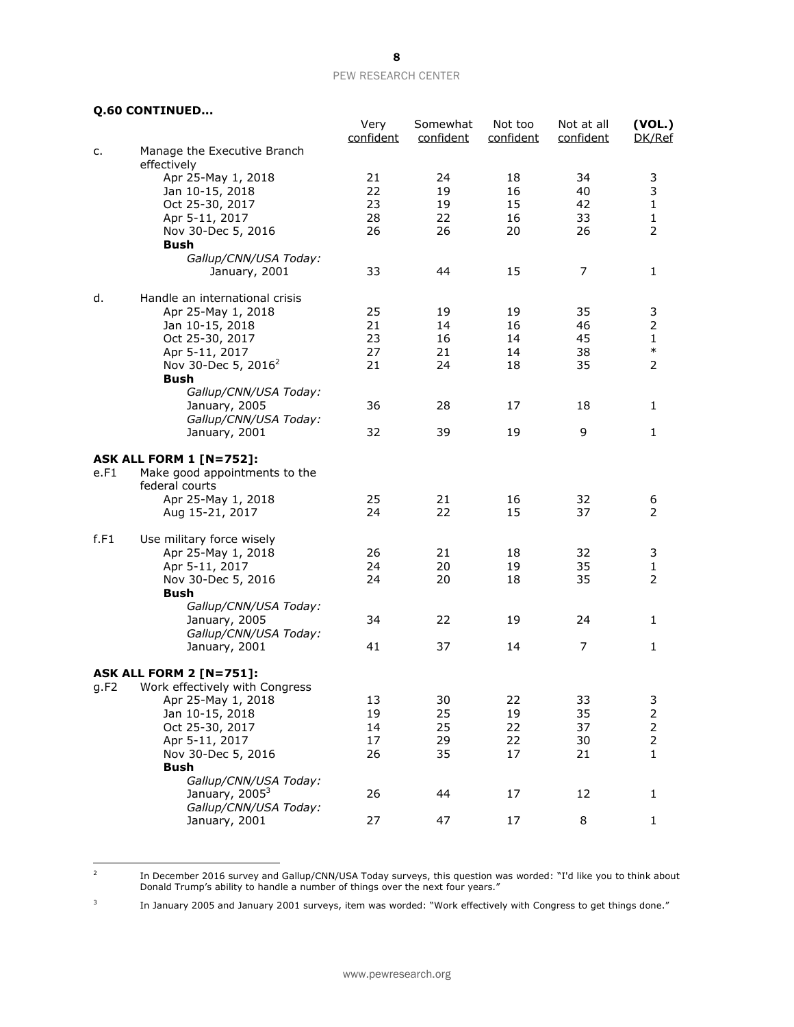# **Q.60 CONTINUED...**

 $\frac{1}{2}$ 

|      |                                                     | Very<br>confident | Somewhat<br>confident | Not too<br>confident | Not at all<br>confident | (VOL.)<br>DK/Ref        |
|------|-----------------------------------------------------|-------------------|-----------------------|----------------------|-------------------------|-------------------------|
| c.   | Manage the Executive Branch                         |                   |                       |                      |                         |                         |
|      | effectively                                         |                   |                       |                      |                         |                         |
|      | Apr 25-May 1, 2018                                  | 21                | 24                    | 18                   | 34                      | 3                       |
|      | Jan 10-15, 2018                                     | 22                | 19                    | 16                   | 40                      | 3                       |
|      | Oct 25-30, 2017                                     | 23                | 19                    | 15                   | 42                      | $\mathbf 1$             |
|      | Apr 5-11, 2017                                      | 28                | 22                    | 16                   | 33                      | 1                       |
|      | Nov 30-Dec 5, 2016                                  | 26                | 26                    | 20                   | 26                      | 2                       |
|      | Bush                                                |                   |                       |                      |                         |                         |
|      | Gallup/CNN/USA Today:                               |                   |                       |                      |                         |                         |
|      | January, 2001                                       | 33                | 44                    | 15                   | 7                       | 1                       |
| d.   | Handle an international crisis                      |                   |                       |                      |                         |                         |
|      | Apr 25-May 1, 2018                                  | 25                | 19                    | 19                   | 35                      | 3                       |
|      | Jan 10-15, 2018                                     | 21                | 14                    | 16                   | 46                      | 2                       |
|      | Oct 25-30, 2017                                     | 23                | 16                    | 14                   | 45                      | 1                       |
|      | Apr 5-11, 2017                                      | 27                | 21                    | 14                   | 38                      | $\ast$                  |
|      | Nov 30-Dec 5, 2016 <sup>2</sup>                     | 21                | 24                    | 18                   | 35                      | 2                       |
|      | <b>Bush</b>                                         |                   |                       |                      |                         |                         |
|      | Gallup/CNN/USA Today:                               |                   |                       |                      |                         |                         |
|      | January, 2005                                       | 36                | 28                    | 17                   | 18                      | 1                       |
|      | Gallup/CNN/USA Today:                               |                   |                       |                      |                         |                         |
|      | January, 2001                                       | 32                | 39                    | 19                   | 9                       | 1                       |
|      | <b>ASK ALL FORM 1 [N=752]:</b>                      |                   |                       |                      |                         |                         |
| e.F1 | Make good appointments to the                       |                   |                       |                      |                         |                         |
|      | federal courts                                      |                   |                       |                      |                         |                         |
|      | Apr 25-May 1, 2018                                  | 25                | 21                    | 16                   | 32                      | 6                       |
|      | Aug 15-21, 2017                                     | 24                | 22                    | 15                   | 37                      | 2                       |
| f.F1 | Use military force wisely                           |                   |                       |                      |                         |                         |
|      | Apr 25-May 1, 2018                                  | 26                | 21                    | 18                   | 32                      | 3                       |
|      | Apr 5-11, 2017                                      | 24                | 20                    | 19                   | 35                      | 1                       |
|      | Nov 30-Dec 5, 2016                                  | 24                | 20                    | 18                   | 35                      | 2                       |
|      | <b>Bush</b>                                         |                   |                       |                      |                         |                         |
|      | Gallup/CNN/USA Today:                               |                   |                       |                      |                         |                         |
|      | January, 2005                                       | 34                | 22                    | 19                   | 24                      | 1                       |
|      | Gallup/CNN/USA Today:                               |                   |                       |                      |                         |                         |
|      | January, 2001                                       | 41                | 37                    | 14                   | 7                       | $\mathbf{1}$            |
|      | <b>ASK ALL FORM 2 [N=751]:</b>                      |                   |                       |                      |                         |                         |
| q.F2 | Work effectively with Congress                      |                   |                       |                      |                         |                         |
|      | Apr 25-May 1, 2018                                  | 13                | 30                    | 22                   | 33                      | 3                       |
|      | Jan 10-15, 2018                                     | 19                | 25                    | 19                   | 35                      | $\overline{\mathbf{c}}$ |
|      | Oct 25-30, 2017                                     | 14                | 25                    | 22                   | 37                      | $\overline{c}$          |
|      | Apr 5-11, 2017                                      | 17                | 29                    | 22                   | 30                      | $\overline{\mathbf{c}}$ |
|      | Nov 30-Dec 5, 2016                                  | 26                | 35                    | 17                   | 21                      | $\mathbf{1}$            |
|      | <b>Bush</b>                                         |                   |                       |                      |                         |                         |
|      | Gallup/CNN/USA Today:                               |                   |                       |                      |                         |                         |
|      | January, 2005 <sup>3</sup><br>Gallup/CNN/USA Today: | 26                | 44                    | 17                   | 12                      | 1                       |
|      | January, 2001                                       | 27                | 47                    | 17                   | 8                       | $\mathbf{1}$            |
|      |                                                     |                   |                       |                      |                         |                         |

In December 2016 survey and Gallup/CNN/USA Today surveys, this question was worded: "I'd like you to think about Donald Trump's ability to handle a number of things over the next four years."

3 In January 2005 and January 2001 surveys, item was worded: "Work effectively with Congress to get things done."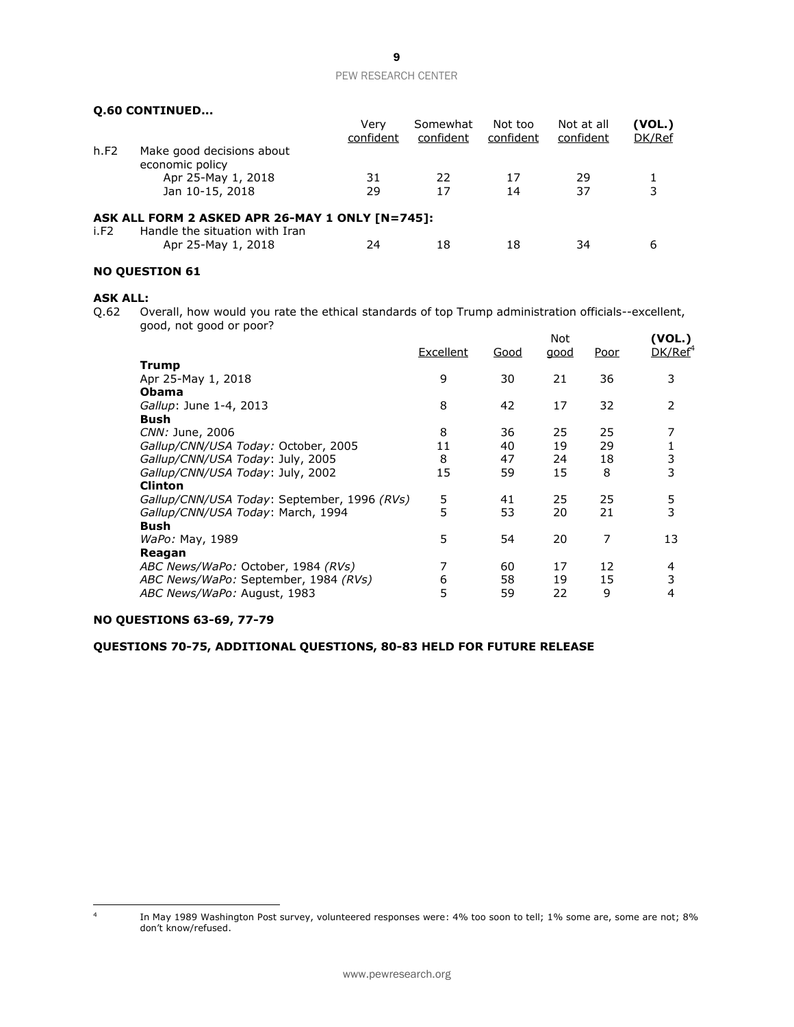# **Q.60 CONTINUED...**

|      |                                                                                   | Verv<br>confident | Somewhat<br>confident | Not too<br>confident | Not at all<br>confident | (VOL.)<br>DK/Ref |
|------|-----------------------------------------------------------------------------------|-------------------|-----------------------|----------------------|-------------------------|------------------|
| h.F2 | Make good decisions about<br>economic policy                                      |                   |                       |                      |                         |                  |
|      | Apr 25-May 1, 2018                                                                | 31                | 22                    | 17                   | 29                      |                  |
|      | Jan 10-15, 2018                                                                   | 29                | 17                    | 14                   | 37                      | 3                |
| i.F2 | ASK ALL FORM 2 ASKED APR 26-MAY 1 ONLY [N=745]:<br>Handle the situation with Iran |                   |                       |                      |                         |                  |
|      | Apr 25-May 1, 2018                                                                | 24                | 18                    | 18                   | 34                      | 6                |

# **NO QUESTION 61**

### **ASK ALL:**

Q.62 Overall, how would you rate the ethical standards of top Trump administration officials--excellent, good, not good or poor?

|                                             | Excellent | Good | Not<br>good | Poor | (VOL.)<br>DK/Ref <sup>4</sup> |
|---------------------------------------------|-----------|------|-------------|------|-------------------------------|
| Trump                                       |           |      |             |      |                               |
| Apr 25-May 1, 2018                          | 9         | 30   | 21          | 36   | 3                             |
| <b>Obama</b>                                |           |      |             |      |                               |
| Gallup: June 1-4, 2013                      | 8         | 42   | 17          | 32   | 2                             |
| Bush                                        |           |      |             |      |                               |
| CNN: June, 2006                             | 8         | 36   | 25          | 25   | 7                             |
| Gallup/CNN/USA Today: October, 2005         | 11        | 40   | 19          | 29   |                               |
| Gallup/CNN/USA Today: July, 2005            | 8         | 47   | 24          | 18   | 3                             |
| Gallup/CNN/USA Today: July, 2002            | 15        | 59   | 15          | 8    | 3                             |
| <b>Clinton</b>                              |           |      |             |      |                               |
| Gallup/CNN/USA Today: September, 1996 (RVs) | 5         | 41   | 25          | 25   | 5                             |
| Gallup/CNN/USA Today: March, 1994           | 5         | 53   | 20          | 21   | 3                             |
| <b>Bush</b>                                 |           |      |             |      |                               |
| WaPo: May, 1989                             | 5         | 54   | 20          | 7    | 13                            |
| Reagan                                      |           |      |             |      |                               |
| ABC News/WaPo: October, 1984 (RVs)          | 7         | 60   | 17          | 12   | 4                             |
| ABC News/WaPo: September, 1984 (RVs)        | 6         | 58   | 19          | 15   | 3                             |
| ABC News/WaPo: August, 1983                 | 5         | 59   | 22          | 9    | 4                             |
|                                             |           |      |             |      |                               |

# **NO QUESTIONS 63-69, 77-79**

**QUESTIONS 70-75, ADDITIONAL QUESTIONS, 80-83 HELD FOR FUTURE RELEASE**

 $\frac{1}{4}$ 

In May 1989 Washington Post survey, volunteered responses were: 4% too soon to tell; 1% some are, some are not; 8% don't know/refused.